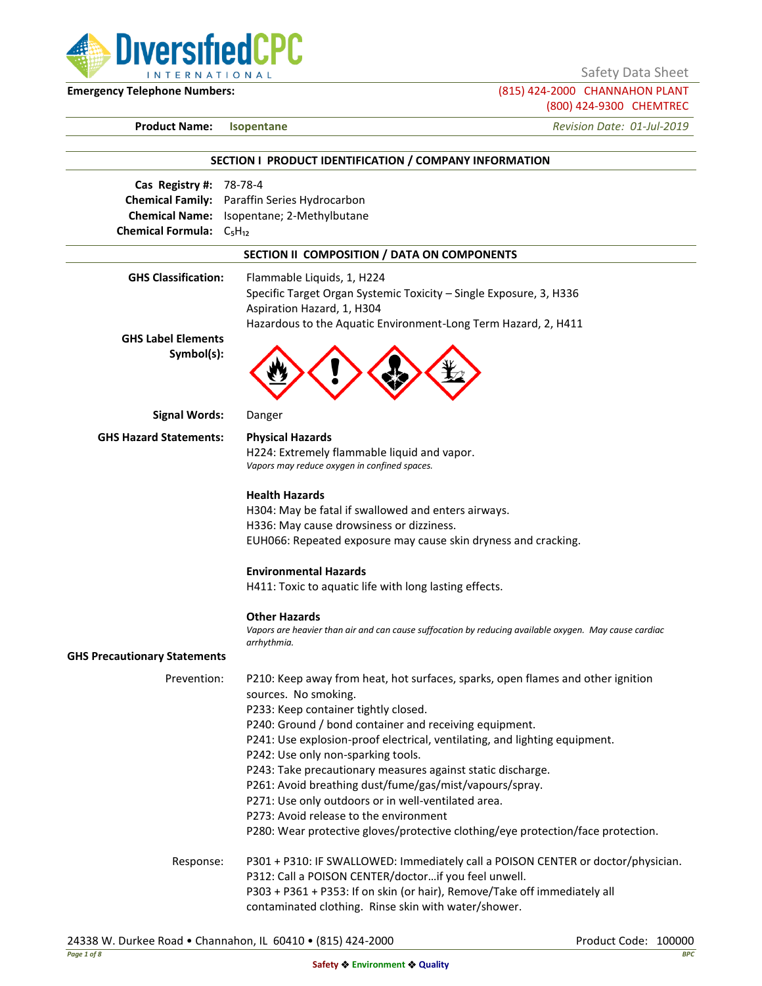

(800) 424-9300 CHEMTREC

# **Emergency Telephone Numbers:** (815) 424-2000 CHANNAHON PLANT **Product Name: Isopentane** *Revision Date: 01-Jul-2019* **SECTION I PRODUCT IDENTIFICATION / COMPANY INFORMATION Cas Registry #:** 78-78-4 **Chemical Family:** Paraffin Series Hydrocarbon **Chemical Name:** Isopentane; 2-Methylbutane **Chemical Formula:** C<sub>5</sub>H<sub>12</sub> **SECTION II COMPOSITION / DATA ON COMPONENTS GHS Classification:** Flammable Liquids, 1, H224 Specific Target Organ Systemic Toxicity – Single Exposure, 3, H336 Aspiration Hazard, 1, H304 Hazardous to the Aquatic Environment-Long Term Hazard, 2, H411 **GHS Label Elements Symbol(s): Signal Words:** Danger **GHS Hazard Statements: Physical Hazards** H224: Extremely flammable liquid and vapor. *Vapors may reduce oxygen in confined spaces.* **Health Hazards** H304: May be fatal if swallowed and enters airways. H336: May cause drowsiness or dizziness. EUH066: Repeated exposure may cause skin dryness and cracking. **Environmental Hazards** H411: Toxic to aquatic life with long lasting effects. **Other Hazards** *Vapors are heavier than air and can cause suffocation by reducing available oxygen. May cause cardiac arrhythmia.* **GHS Precautionary Statements** Prevention: P210: Keep away from heat, hot surfaces, sparks, open flames and other ignition sources. No smoking. P233: Keep container tightly closed. P240: Ground / bond container and receiving equipment. P241: Use explosion-proof electrical, ventilating, and lighting equipment. P242: Use only non-sparking tools. P243: Take precautionary measures against static discharge. P261: Avoid breathing dust/fume/gas/mist/vapours/spray. P271: Use only outdoors or in well-ventilated area. P273: Avoid release to the environment P280: Wear protective gloves/protective clothing/eye protection/face protection. Response: P301 + P310: IF SWALLOWED: Immediately call a POISON CENTER or doctor/physician.

P312: Call a POISON CENTER/doctor…if you feel unwell. P303 + P361 + P353: If on skin (or hair), Remove/Take off immediately all contaminated clothing. Rinse skin with water/shower.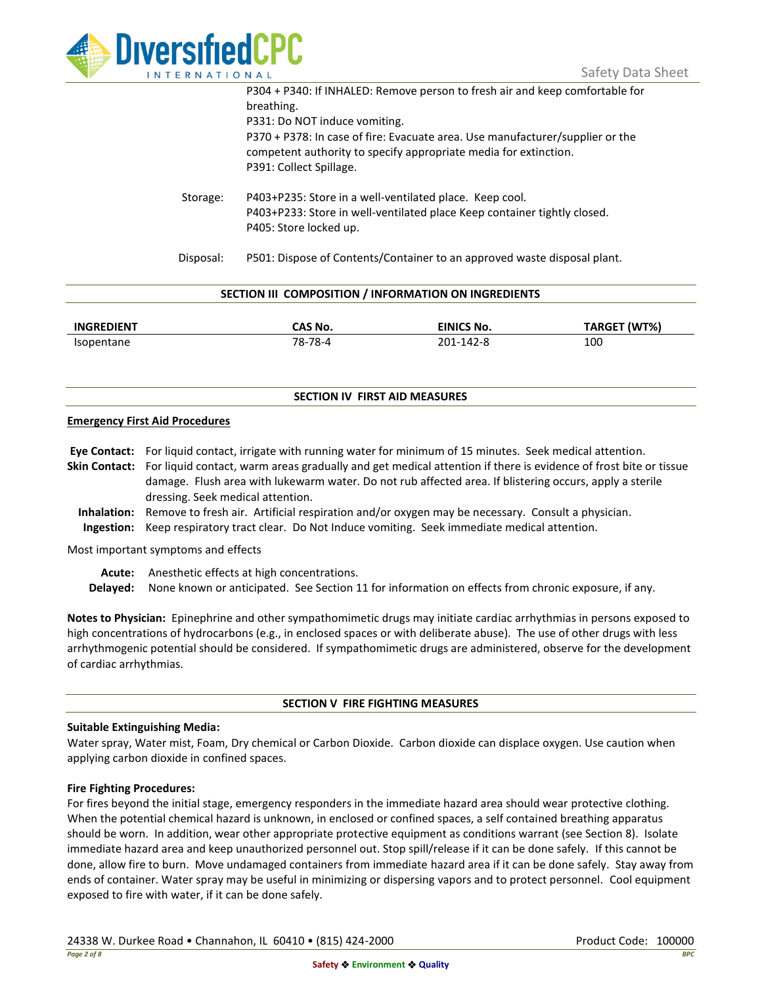

|           | P304 + P340: If INHALED: Remove person to fresh air and keep comfortable for<br>breathing.                                                                                   |
|-----------|------------------------------------------------------------------------------------------------------------------------------------------------------------------------------|
|           | P331: Do NOT induce vomiting.                                                                                                                                                |
|           | P370 + P378: In case of fire: Evacuate area. Use manufacturer/supplier or the<br>competent authority to specify appropriate media for extinction.<br>P391: Collect Spillage. |
| Storage:  | P403+P235: Store in a well-ventilated place. Keep cool.<br>P403+P233: Store in well-ventilated place Keep container tightly closed.<br>P405: Store locked up.                |
| Disposal: | P501: Dispose of Contents/Container to an approved waste disposal plant.                                                                                                     |

| SECTION III COMPOSITION / INFORMATION ON INGREDIENTS |         |            |              |  |  |
|------------------------------------------------------|---------|------------|--------------|--|--|
| <b>INGREDIENT</b>                                    | CAS No. | EINICS No. | TARGET (WT%) |  |  |
| Isopentane                                           | 78-78-4 | 201-142-8  | 100          |  |  |

## **SECTION IV FIRST AID MEASURES**

## **Emergency First Aid Procedures**

**Eye Contact:** For liquid contact, irrigate with running water for minimum of 15 minutes. Seek medical attention. **Skin Contact:** For liquid contact, warm areas gradually and get medical attention if there is evidence of frost bite or tissue damage. Flush area with lukewarm water. Do not rub affected area. If blistering occurs, apply a sterile dressing. Seek medical attention. **Inhalation:** Remove to fresh air. Artificial respiration and/or oxygen may be necessary. Consult a physician.

**Ingestion:** Keep respiratory tract clear. Do Not Induce vomiting. Seek immediate medical attention.

Most important symptoms and effects

**Acute:** Anesthetic effects at high concentrations.

**Delayed:** None known or anticipated. See Section 11 for information on effects from chronic exposure, if any.

**Notes to Physician:** Epinephrine and other sympathomimetic drugs may initiate cardiac arrhythmias in persons exposed to high concentrations of hydrocarbons (e.g., in enclosed spaces or with deliberate abuse). The use of other drugs with less arrhythmogenic potential should be considered. If sympathomimetic drugs are administered, observe for the development of cardiac arrhythmias.

## **SECTION V FIRE FIGHTING MEASURES**

## **Suitable Extinguishing Media:**

Water spray, Water mist, Foam, Dry chemical or Carbon Dioxide. Carbon dioxide can displace oxygen. Use caution when applying carbon dioxide in confined spaces.

## **Fire Fighting Procedures:**

For fires beyond the initial stage, emergency responders in the immediate hazard area should wear protective clothing. When the potential chemical hazard is unknown, in enclosed or confined spaces, a self contained breathing apparatus should be worn. In addition, wear other appropriate protective equipment as conditions warrant (see Section 8). Isolate immediate hazard area and keep unauthorized personnel out. Stop spill/release if it can be done safely. If this cannot be done, allow fire to burn. Move undamaged containers from immediate hazard area if it can be done safely. Stay away from ends of container. Water spray may be useful in minimizing or dispersing vapors and to protect personnel. Cool equipment exposed to fire with water, if it can be done safely.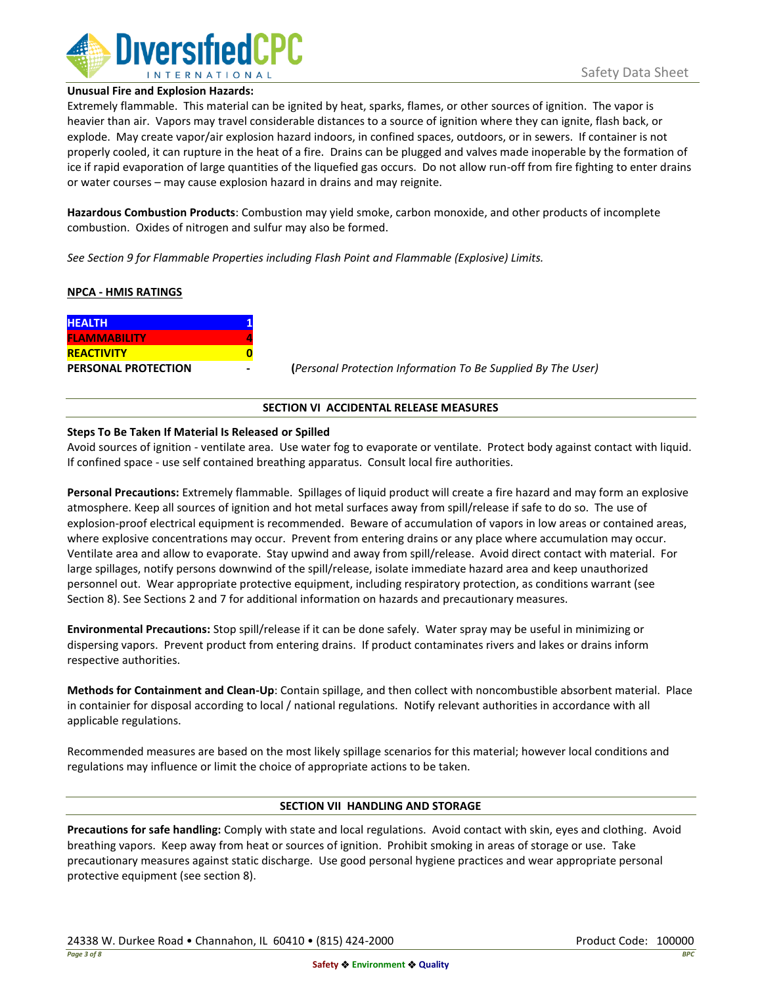

#### **Unusual Fire and Explosion Hazards:**

Extremely flammable. This material can be ignited by heat, sparks, flames, or other sources of ignition. The vapor is heavier than air. Vapors may travel considerable distances to a source of ignition where they can ignite, flash back, or explode. May create vapor/air explosion hazard indoors, in confined spaces, outdoors, or in sewers. If container is not properly cooled, it can rupture in the heat of a fire. Drains can be plugged and valves made inoperable by the formation of ice if rapid evaporation of large quantities of the liquefied gas occurs. Do not allow run-off from fire fighting to enter drains or water courses – may cause explosion hazard in drains and may reignite.

**Hazardous Combustion Products**: Combustion may yield smoke, carbon monoxide, and other products of incomplete combustion. Oxides of nitrogen and sulfur may also be formed.

*See Section 9 for Flammable Properties including Flash Point and Flammable (Explosive) Limits.*

## **NPCA - HMIS RATINGS**

| <b>HEALTH</b>              |  |
|----------------------------|--|
| <b>FLAMMABILITY</b>        |  |
| <b>REACTIVITY</b>          |  |
| <b>PERSONAL PROTECTION</b> |  |

**PERSONAL PROTECTION - (***Personal Protection Information To Be Supplied By The User)*

## **SECTION VI ACCIDENTAL RELEASE MEASURES**

## **Steps To Be Taken If Material Is Released or Spilled**

Avoid sources of ignition - ventilate area. Use water fog to evaporate or ventilate. Protect body against contact with liquid. If confined space - use self contained breathing apparatus. Consult local fire authorities.

**Personal Precautions:** Extremely flammable. Spillages of liquid product will create a fire hazard and may form an explosive atmosphere. Keep all sources of ignition and hot metal surfaces away from spill/release if safe to do so. The use of explosion-proof electrical equipment is recommended. Beware of accumulation of vapors in low areas or contained areas, where explosive concentrations may occur. Prevent from entering drains or any place where accumulation may occur. Ventilate area and allow to evaporate. Stay upwind and away from spill/release. Avoid direct contact with material. For large spillages, notify persons downwind of the spill/release, isolate immediate hazard area and keep unauthorized personnel out. Wear appropriate protective equipment, including respiratory protection, as conditions warrant (see Section 8). See Sections 2 and 7 for additional information on hazards and precautionary measures.

**Environmental Precautions:** Stop spill/release if it can be done safely. Water spray may be useful in minimizing or dispersing vapors. Prevent product from entering drains. If product contaminates rivers and lakes or drains inform respective authorities.

**Methods for Containment and Clean-Up**: Contain spillage, and then collect with noncombustible absorbent material. Place in containier for disposal according to local / national regulations. Notify relevant authorities in accordance with all applicable regulations.

Recommended measures are based on the most likely spillage scenarios for this material; however local conditions and regulations may influence or limit the choice of appropriate actions to be taken.

## **SECTION VII HANDLING AND STORAGE**

**Precautions for safe handling:** Comply with state and local regulations. Avoid contact with skin, eyes and clothing. Avoid breathing vapors. Keep away from heat or sources of ignition. Prohibit smoking in areas of storage or use. Take precautionary measures against static discharge. Use good personal hygiene practices and wear appropriate personal protective equipment (see section 8).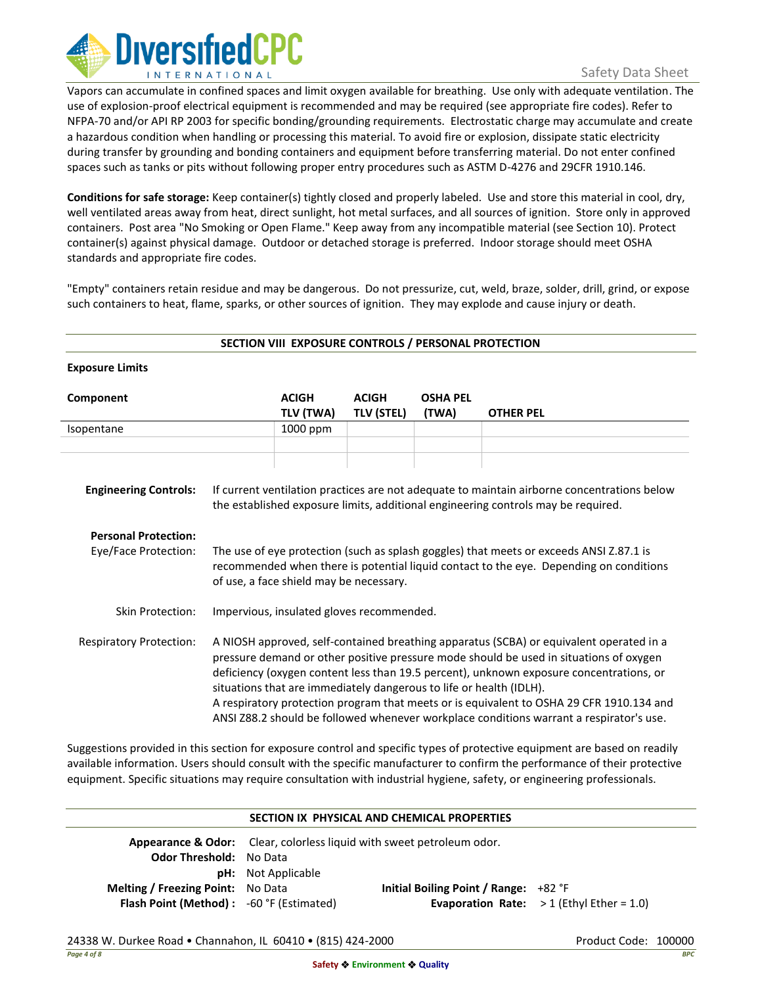

Vapors can accumulate in confined spaces and limit oxygen available for breathing. Use only with adequate ventilation. The use of explosion-proof electrical equipment is recommended and may be required (see appropriate fire codes). Refer to NFPA-70 and/or API RP 2003 for specific bonding/grounding requirements. Electrostatic charge may accumulate and create a hazardous condition when handling or processing this material. To avoid fire or explosion, dissipate static electricity during transfer by grounding and bonding containers and equipment before transferring material. Do not enter confined spaces such as tanks or pits without following proper entry procedures such as ASTM D-4276 and 29CFR 1910.146.

**Conditions for safe storage:** Keep container(s) tightly closed and properly labeled. Use and store this material in cool, dry, well ventilated areas away from heat, direct sunlight, hot metal surfaces, and all sources of ignition. Store only in approved containers. Post area "No Smoking or Open Flame." Keep away from any incompatible material (see Section 10). Protect container(s) against physical damage. Outdoor or detached storage is preferred. Indoor storage should meet OSHA standards and appropriate fire codes.

"Empty" containers retain residue and may be dangerous. Do not pressurize, cut, weld, braze, solder, drill, grind, or expose such containers to heat, flame, sparks, or other sources of ignition. They may explode and cause injury or death.

| SECTION VIII EXPOSURE CONTROLS / PERSONAL PROTECTION |                                                                                                                                                                                                                                                                                                                                                                                                                                                                                                                                            |                           |                                   |                          |                  |
|------------------------------------------------------|--------------------------------------------------------------------------------------------------------------------------------------------------------------------------------------------------------------------------------------------------------------------------------------------------------------------------------------------------------------------------------------------------------------------------------------------------------------------------------------------------------------------------------------------|---------------------------|-----------------------------------|--------------------------|------------------|
| <b>Exposure Limits</b>                               |                                                                                                                                                                                                                                                                                                                                                                                                                                                                                                                                            |                           |                                   |                          |                  |
| Component                                            |                                                                                                                                                                                                                                                                                                                                                                                                                                                                                                                                            | <b>ACIGH</b><br>TLV (TWA) | <b>ACIGH</b><br><b>TLV (STEL)</b> | <b>OSHA PEL</b><br>(TWA) | <b>OTHER PEL</b> |
| Isopentane                                           |                                                                                                                                                                                                                                                                                                                                                                                                                                                                                                                                            | 1000 ppm                  |                                   |                          |                  |
|                                                      |                                                                                                                                                                                                                                                                                                                                                                                                                                                                                                                                            |                           |                                   |                          |                  |
| <b>Engineering Controls:</b>                         | If current ventilation practices are not adequate to maintain airborne concentrations below<br>the established exposure limits, additional engineering controls may be required.                                                                                                                                                                                                                                                                                                                                                           |                           |                                   |                          |                  |
| <b>Personal Protection:</b>                          |                                                                                                                                                                                                                                                                                                                                                                                                                                                                                                                                            |                           |                                   |                          |                  |
| Eye/Face Protection:                                 | The use of eye protection (such as splash goggles) that meets or exceeds ANSI Z.87.1 is<br>recommended when there is potential liquid contact to the eye. Depending on conditions<br>of use, a face shield may be necessary.                                                                                                                                                                                                                                                                                                               |                           |                                   |                          |                  |
| Skin Protection:                                     | Impervious, insulated gloves recommended.                                                                                                                                                                                                                                                                                                                                                                                                                                                                                                  |                           |                                   |                          |                  |
| <b>Respiratory Protection:</b>                       | A NIOSH approved, self-contained breathing apparatus (SCBA) or equivalent operated in a<br>pressure demand or other positive pressure mode should be used in situations of oxygen<br>deficiency (oxygen content less than 19.5 percent), unknown exposure concentrations, or<br>situations that are immediately dangerous to life or health (IDLH).<br>A respiratory protection program that meets or is equivalent to OSHA 29 CFR 1910.134 and<br>ANSI Z88.2 should be followed whenever workplace conditions warrant a respirator's use. |                           |                                   |                          |                  |

Suggestions provided in this section for exposure control and specific types of protective equipment are based on readily available information. Users should consult with the specific manufacturer to confirm the performance of their protective equipment. Specific situations may require consultation with industrial hygiene, safety, or engineering professionals.

## **SECTION IX PHYSICAL AND CHEMICAL PROPERTIES Appearance & Odor:** Clear, colorless liquid with sweet petroleum odor. **Odor Threshold:** No Data **pH:** Not Applicable **Melting / Freezing Point:** No Data **Initial Boiling Point / Range:** +82 °F **Flash Point (Method) :** -60 °F (Estimated) **Evaporation Rate:** > 1 (Ethyl Ether = 1.0)

## 24338 W. Durkee Road • Channahon, IL 60410 • (815) 424-2000 Product Code: 100000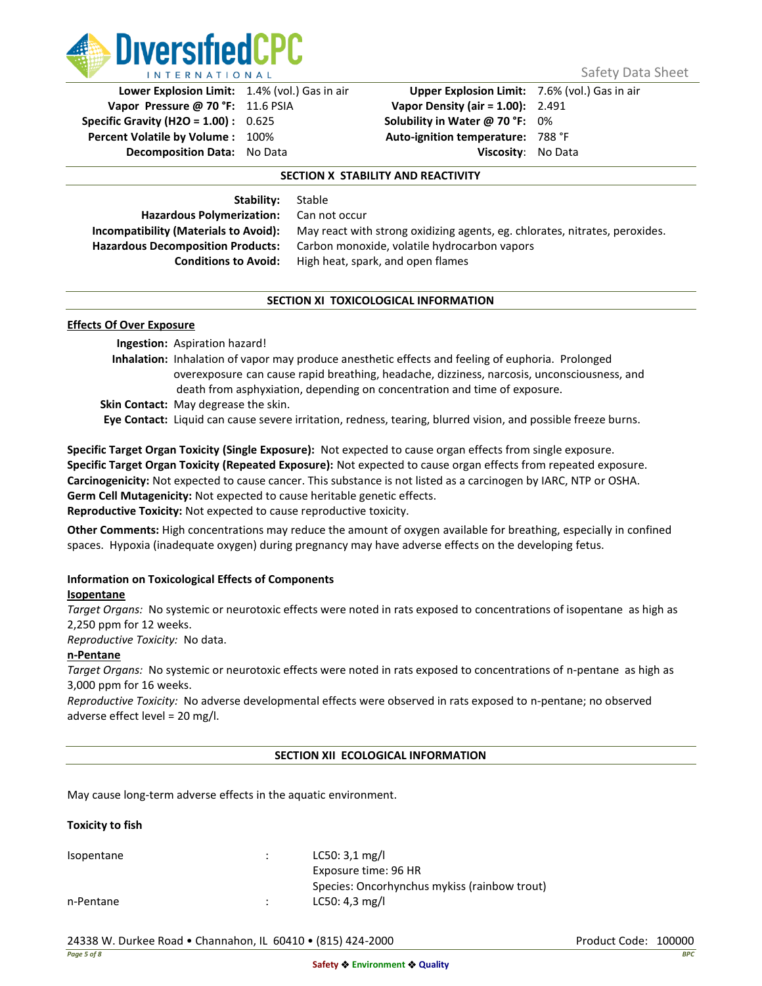

**Vapor Pressure @ 70 °F:** 11.6 PSIA **Vapor Density (air = 1.00):** 2.491 **Specific Gravity (H2O = 1.00) :** 0.625 **Solubility in Water @ 70 °F:** 0% **Percent Volatile by Volume :** 100% **Auto-ignition temperature:** 788 °F **Decomposition Data:** No Data **Viscosity**: No Data

**Lower Explosion Limit:** 1.4% (vol.) Gas in air **Upper Explosion Limit:** 7.6% (vol.) Gas in air

## **SECTION X STABILITY AND REACTIVITY**

**Stability:** Stable **Hazardous Polymerization:** Can not occur

**Incompatibility (Materials to Avoid):** May react with strong oxidizing agents, eg. chlorates, nitrates, peroxides. **Hazardous Decomposition Products:** Carbon monoxide, volatile hydrocarbon vapors **Conditions to Avoid:** High heat, spark, and open flames

## **SECTION XI TOXICOLOGICAL INFORMATION**

## **Effects Of Over Exposure**

**Ingestion:** Aspiration hazard! **Inhalation:** Inhalation of vapor may produce anesthetic effects and feeling of euphoria. Prolonged overexposure can cause rapid breathing, headache, dizziness, narcosis, unconsciousness, and death from asphyxiation, depending on concentration and time of exposure. **Skin Contact:** May degrease the skin.

**Eye Contact:** Liquid can cause severe irritation, redness, tearing, blurred vision, and possible freeze burns.

**Specific Target Organ Toxicity (Single Exposure):** Not expected to cause organ effects from single exposure. **Specific Target Organ Toxicity (Repeated Exposure):** Not expected to cause organ effects from repeated exposure. **Carcinogenicity:** Not expected to cause cancer. This substance is not listed as a carcinogen by IARC, NTP or OSHA. **Germ Cell Mutagenicity:** Not expected to cause heritable genetic effects. **Reproductive Toxicity:** Not expected to cause reproductive toxicity.

**Other Comments:** High concentrations may reduce the amount of oxygen available for breathing, especially in confined spaces. Hypoxia (inadequate oxygen) during pregnancy may have adverse effects on the developing fetus.

## **Information on Toxicological Effects of Components**

## **Isopentane**

*Target Organs:* No systemic or neurotoxic effects were noted in rats exposed to concentrations of isopentane as high as 2,250 ppm for 12 weeks.

*Reproductive Toxicity:* No data.

## **n-Pentane**

*Target Organs:* No systemic or neurotoxic effects were noted in rats exposed to concentrations of n-pentane as high as 3,000 ppm for 16 weeks.

*Reproductive Toxicity:* No adverse developmental effects were observed in rats exposed to n-pentane; no observed adverse effect level = 20 mg/l.

## **SECTION XII ECOLOGICAL INFORMATION**

May cause long-term adverse effects in the aquatic environment.

## **Toxicity to fish**

Isopentane : LC50: 3,1 mg/l Exposure time: 96 HR Species: Oncorhynchus mykiss (rainbow trout) n-Pentane : LC50: 4,3 mg/l

24338 W. Durkee Road • Channahon, IL 60410 • (815) 424-2000 Product Code: 100000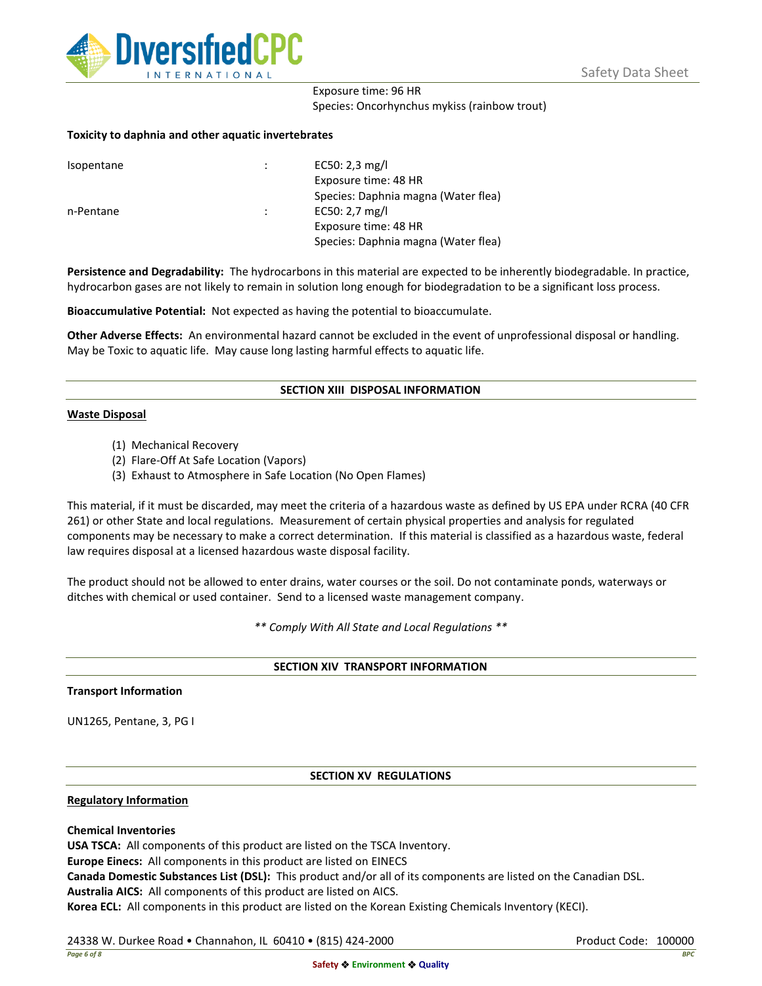

## Exposure time: 96 HR Species: Oncorhynchus mykiss (rainbow trout)

## **Toxicity to daphnia and other aquatic invertebrates**

| Isopentane |   | EC50: 2,3 mg/l                      |
|------------|---|-------------------------------------|
|            |   | Exposure time: 48 HR                |
|            |   | Species: Daphnia magna (Water flea) |
| n-Pentane  | ÷ | EC50: $2,7$ mg/l                    |
|            |   | Exposure time: 48 HR                |
|            |   | Species: Daphnia magna (Water flea) |

**Persistence and Degradability:** The hydrocarbons in this material are expected to be inherently biodegradable. In practice, hydrocarbon gases are not likely to remain in solution long enough for biodegradation to be a significant loss process.

**Bioaccumulative Potential:** Not expected as having the potential to bioaccumulate.

**Other Adverse Effects:** An environmental hazard cannot be excluded in the event of unprofessional disposal or handling. May be Toxic to aquatic life. May cause long lasting harmful effects to aquatic life.

## **SECTION XIII DISPOSAL INFORMATION**

## **Waste Disposal**

- (1) Mechanical Recovery
- (2) Flare-Off At Safe Location (Vapors)
- (3) Exhaust to Atmosphere in Safe Location (No Open Flames)

This material, if it must be discarded, may meet the criteria of a hazardous waste as defined by US EPA under RCRA (40 CFR 261) or other State and local regulations. Measurement of certain physical properties and analysis for regulated components may be necessary to make a correct determination. If this material is classified as a hazardous waste, federal law requires disposal at a licensed hazardous waste disposal facility.

The product should not be allowed to enter drains, water courses or the soil. Do not contaminate ponds, waterways or ditches with chemical or used container. Send to a licensed waste management company.

*\*\* Comply With All State and Local Regulations \*\**

## **SECTION XIV TRANSPORT INFORMATION**

## **Transport Information**

UN1265, Pentane, 3, PG I

## **SECTION XV REGULATIONS**

## **Regulatory Information**

## **Chemical Inventories**

**USA TSCA:** All components of this product are listed on the TSCA Inventory.

**Europe Einecs:** All components in this product are listed on EINECS

**Canada Domestic Substances List (DSL):** This product and/or all of its components are listed on the Canadian DSL.

**Australia AICS:** All components of this product are listed on AICS.

**Korea ECL:** All components in this product are listed on the Korean Existing Chemicals Inventory (KECI).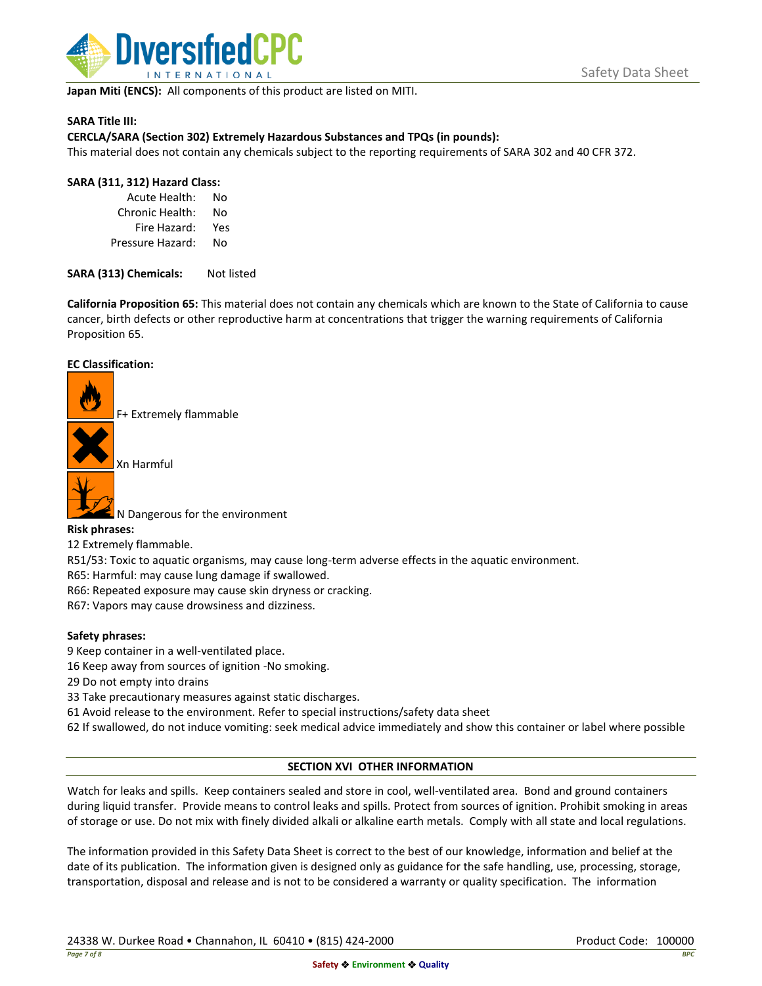

**Japan Miti (ENCS):** All components of this product are listed on MITI.

## **SARA Title III:**

## **CERCLA/SARA (Section 302) Extremely Hazardous Substances and TPQs (in pounds):**

This material does not contain any chemicals subject to the reporting requirements of SARA 302 and 40 CFR 372.

## **SARA (311, 312) Hazard Class:**

Acute Health: No Chronic Health: No Fire Hazard: Yes Pressure Hazard: No

SARA (313) Chemicals: Not listed

**California Proposition 65:** This material does not contain any chemicals which are known to the State of California to cause cancer, birth defects or other reproductive harm at concentrations that trigger the warning requirements of California Proposition 65.

## **EC Classification:**

F+ Extremely flammable

Xn Harmful



N Dangerous for the environment

## **Risk phrases:**

12 Extremely flammable.

R51/53: Toxic to aquatic organisms, may cause long-term adverse effects in the aquatic environment.

R65: Harmful: may cause lung damage if swallowed.

R66: Repeated exposure may cause skin dryness or cracking.

R67: Vapors may cause drowsiness and dizziness.

## **Safety phrases:**

- 9 Keep container in a well-ventilated place.
- 16 Keep away from sources of ignition -No smoking.
- 29 Do not empty into drains
- 33 Take precautionary measures against static discharges.
- 61 Avoid release to the environment. Refer to special instructions/safety data sheet
- 62 If swallowed, do not induce vomiting: seek medical advice immediately and show this container or label where possible

## **SECTION XVI OTHER INFORMATION**

Watch for leaks and spills. Keep containers sealed and store in cool, well-ventilated area. Bond and ground containers during liquid transfer. Provide means to control leaks and spills. Protect from sources of ignition. Prohibit smoking in areas of storage or use. Do not mix with finely divided alkali or alkaline earth metals. Comply with all state and local regulations.

The information provided in this Safety Data Sheet is correct to the best of our knowledge, information and belief at the date of its publication. The information given is designed only as guidance for the safe handling, use, processing, storage, transportation, disposal and release and is not to be considered a warranty or quality specification. The information